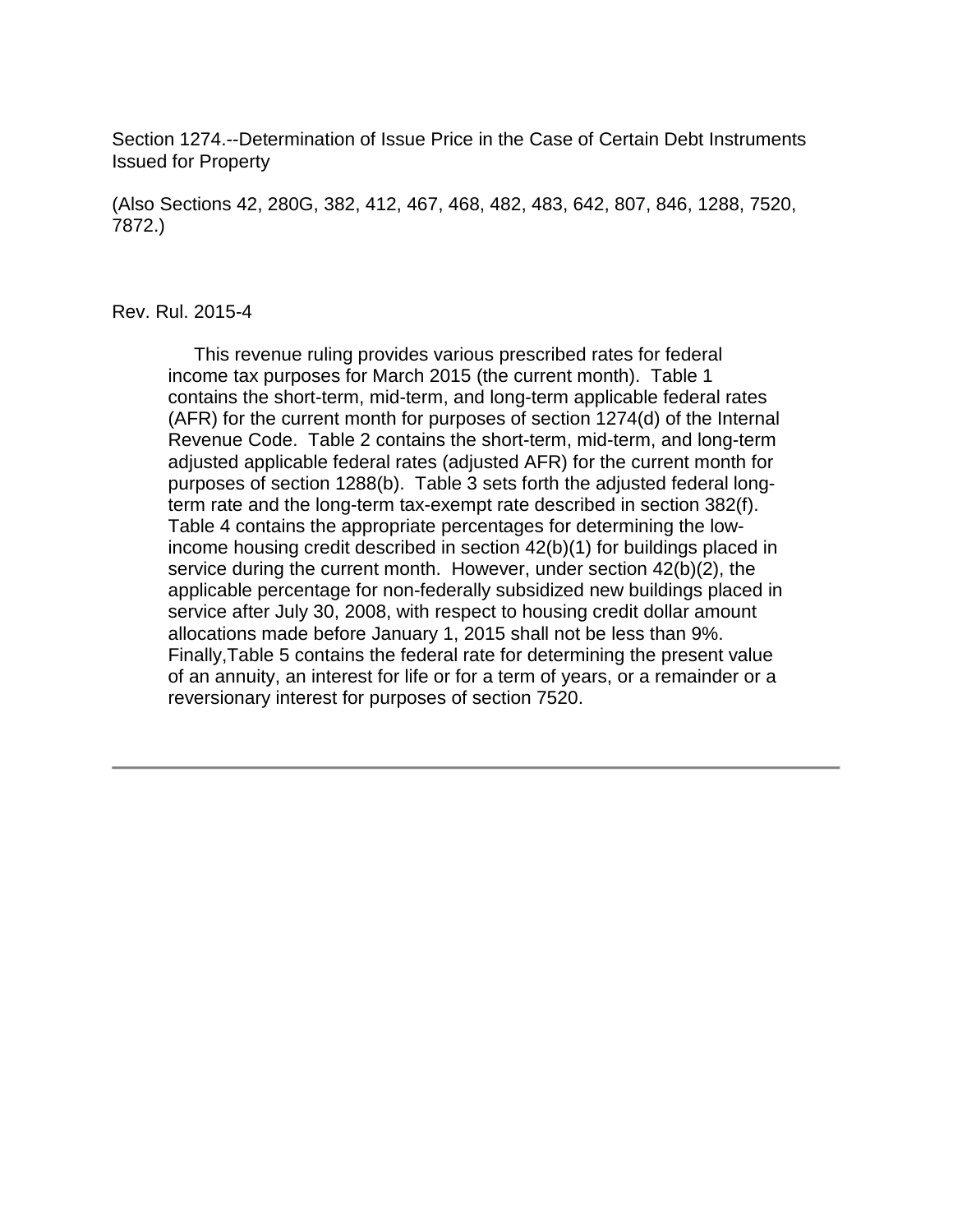Section 1274.--Determination of Issue Price in the Case of Certain Debt Instruments Issued for Property

(Also Sections 42, 280G, 382, 412, 467, 468, 482, 483, 642, 807, 846, 1288, 7520, 7872.)

#### Rev. Rul. 2015-4

 This revenue ruling provides various prescribed rates for federal income tax purposes for March 2015 (the current month). Table 1 contains the short-term, mid-term, and long-term applicable federal rates (AFR) for the current month for purposes of section 1274(d) of the Internal Revenue Code. Table 2 contains the short-term, mid-term, and long-term adjusted applicable federal rates (adjusted AFR) for the current month for purposes of section 1288(b). Table 3 sets forth the adjusted federal longterm rate and the long-term tax-exempt rate described in section 382(f). Table 4 contains the appropriate percentages for determining the lowincome housing credit described in section 42(b)(1) for buildings placed in service during the current month. However, under section 42(b)(2), the applicable percentage for non-federally subsidized new buildings placed in service after July 30, 2008, with respect to housing credit dollar amount allocations made before January 1, 2015 shall not be less than 9%. Finally,Table 5 contains the federal rate for determining the present value of an annuity, an interest for life or for a term of years, or a remainder or a reversionary interest for purposes of section 7520.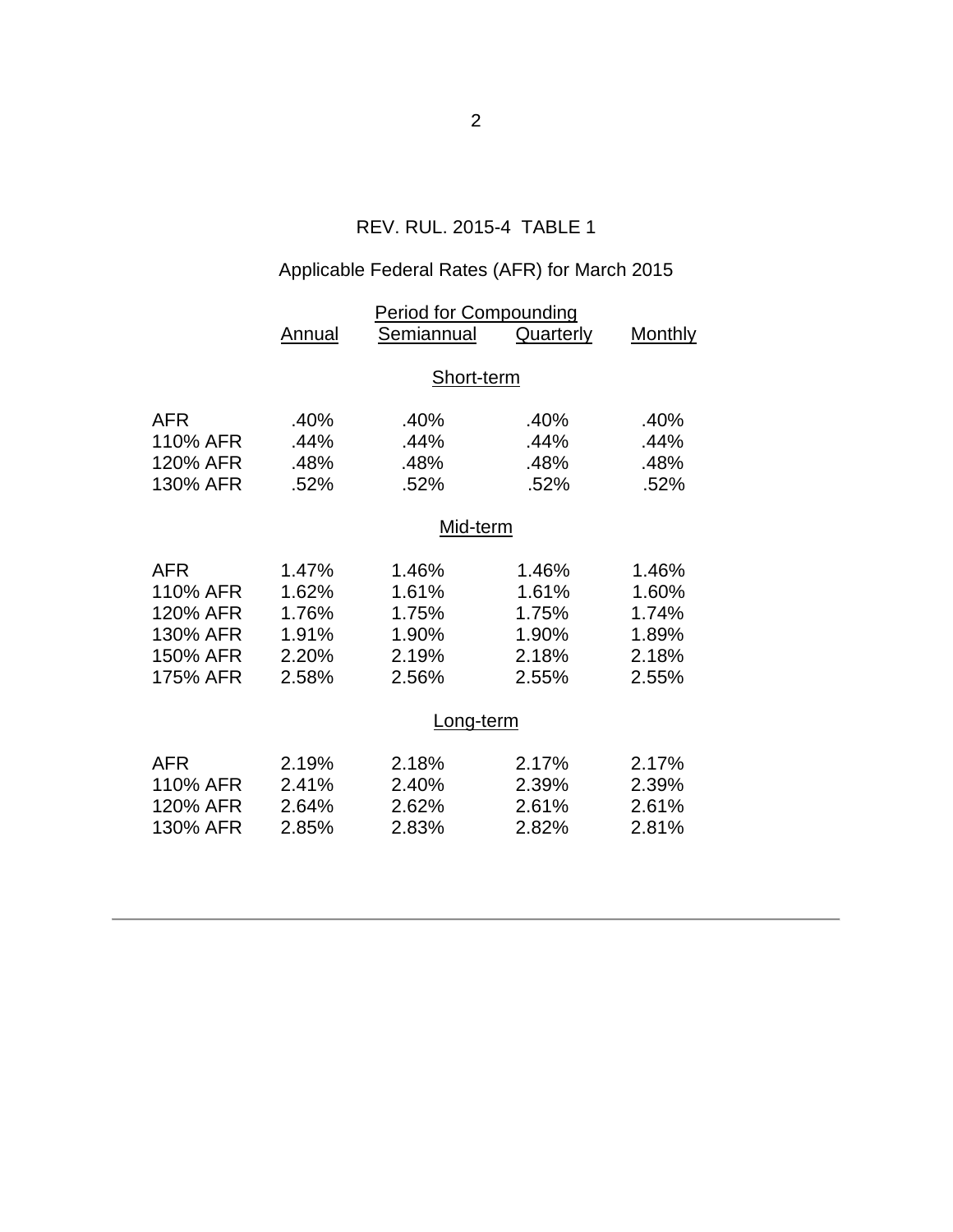## REV. RUL. 2015-4 TABLE 1

# Applicable Federal Rates (AFR) for March 2015

|            | <b>Period for Compounding</b> |            |           |                |  |  |
|------------|-------------------------------|------------|-----------|----------------|--|--|
|            | Annual                        | Semiannual | Quarterly | <b>Monthly</b> |  |  |
|            | Short-term                    |            |           |                |  |  |
|            |                               |            |           |                |  |  |
| <b>AFR</b> | .40%                          | .40%       | .40%      | .40%           |  |  |
| 110% AFR   | .44%                          | .44%       | .44%      | .44%           |  |  |
| 120% AFR   | .48%                          | .48%       | .48%      | .48%           |  |  |
| 130% AFR   | .52%                          | .52%       | .52%      | .52%           |  |  |
|            | Mid-term                      |            |           |                |  |  |
|            |                               |            |           |                |  |  |
| <b>AFR</b> | 1.47%                         | 1.46%      | 1.46%     | 1.46%          |  |  |
| 110% AFR   | 1.62%                         | 1.61%      | 1.61%     | 1.60%          |  |  |
| 120% AFR   | 1.76%                         | 1.75%      | 1.75%     | 1.74%          |  |  |
| 130% AFR   | 1.91%                         | 1.90%      | 1.90%     | 1.89%          |  |  |
| 150% AFR   | 2.20%                         | 2.19%      | 2.18%     | 2.18%          |  |  |
| 175% AFR   | 2.58%                         | 2.56%      | 2.55%     | 2.55%          |  |  |
|            | Long-term                     |            |           |                |  |  |
| <b>AFR</b> | 2.19%                         | 2.18%      | 2.17%     | 2.17%          |  |  |
| 110% AFR   | 2.41%                         | 2.40%      | 2.39%     | 2.39%          |  |  |
| 120% AFR   | 2.64%                         | 2.62%      | 2.61%     | 2.61%          |  |  |
| 130% AFR   | 2.85%                         | 2.83%      | 2.82%     | 2.81%          |  |  |
|            |                               |            |           |                |  |  |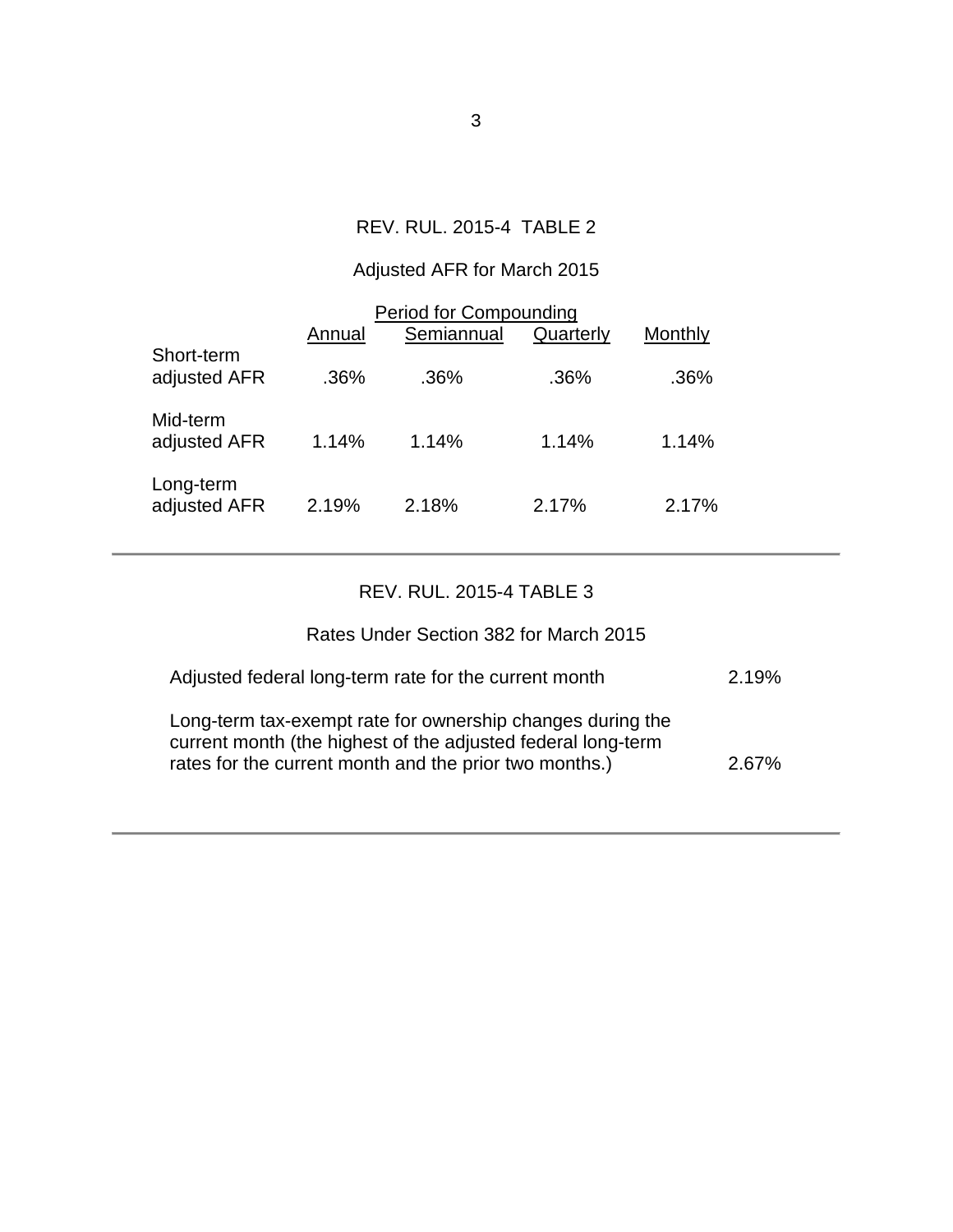### REV. RUL. 2015-4 TABLE 2

# Adjusted AFR for March 2015

| <b>Period for Compounding</b> |        |            |           |         |  |  |
|-------------------------------|--------|------------|-----------|---------|--|--|
|                               | Annual | Semiannual | Quarterly | Monthly |  |  |
| Short-term<br>adjusted AFR    | .36%   | .36%       | .36%      | .36%    |  |  |
| Mid-term<br>adjusted AFR      | 1.14%  | 1.14%      | 1.14%     | 1.14%   |  |  |
| Long-term<br>adjusted AFR     | 2.19%  | 2.18%      | 2.17%     | 2.17%   |  |  |

### REV. RUL. 2015-4 TABLE 3

## Rates Under Section 382 for March 2015

| Adjusted federal long-term rate for the current month                                                                                                                                | 2.19% |
|--------------------------------------------------------------------------------------------------------------------------------------------------------------------------------------|-------|
| Long-term tax-exempt rate for ownership changes during the<br>current month (the highest of the adjusted federal long-term<br>rates for the current month and the prior two months.) | 2.67% |